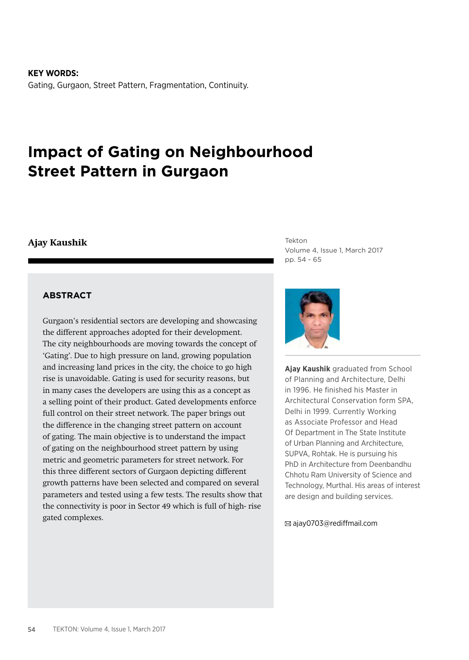**KEY WORDS:** Gating, Gurgaon, Street Pattern, Fragmentation, Continuity.

# **Impact of Gating on Neighbourhood Street Pattern in Gurgaon**

#### **Ajay Kaushik**

Tekton Volume 4, Issue 1, March 2017 pp. 54 - 65

#### **ABSTRACT**

Gurgaon's residential sectors are developing and showcasing the different approaches adopted for their development. The city neighbourhoods are moving towards the concept of 'Gating'. Due to high pressure on land, growing population and increasing land prices in the city, the choice to go high rise is unavoidable. Gating is used for security reasons, but in many cases the developers are using this as a concept as a selling point of their product. Gated developments enforce full control on their street network. The paper brings out the difference in the changing street pattern on account of gating. The main objective is to understand the impact of gating on the neighbourhood street pattern by using metric and geometric parameters for street network. For this three different sectors of Gurgaon depicting different growth patterns have been selected and compared on several parameters and tested using a few tests. The results show that the connectivity is poor in Sector 49 which is full of high- rise gated complexes.



**Ajay Kaushik** graduated from School of Planning and Architecture, Delhi in 1996. He finished his Master in Architectural Conservation form SPA, Delhi in 1999. Currently Working as Associate Professor and Head Of Department in The State Institute of Urban Planning and Architecture, SUPVA, Rohtak. He is pursuing his PhD in Architecture from Deenbandhu Chhotu Ram University of Science and Technology, Murthal. His areas of interest are design and building services.

ajay0703@rediffmail.com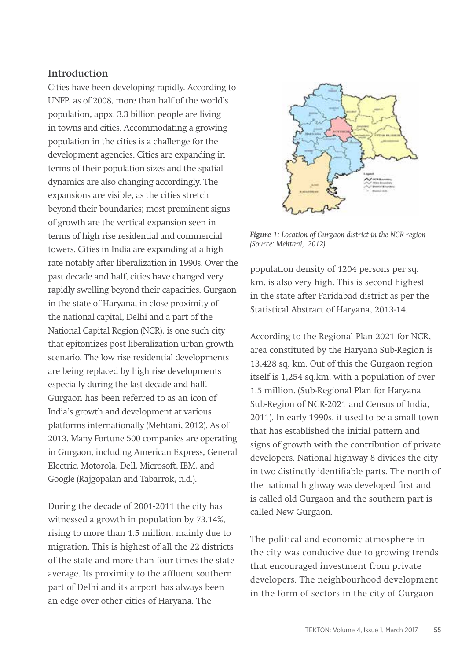## **Introduction**

Cities have been developing rapidly. According to UNFP, as of 2008, more than half of the world's population, appx. 3.3 billion people are living in towns and cities. Accommodating a growing population in the cities is a challenge for the development agencies. Cities are expanding in terms of their population sizes and the spatial dynamics are also changing accordingly. The expansions are visible, as the cities stretch beyond their boundaries; most prominent signs of growth are the vertical expansion seen in terms of high rise residential and commercial towers. Cities in India are expanding at a high rate notably after liberalization in 1990s. Over the past decade and half, cities have changed very rapidly swelling beyond their capacities. Gurgaon in the state of Haryana, in close proximity of the national capital, Delhi and a part of the National Capital Region (NCR), is one such city that epitomizes post liberalization urban growth scenario. The low rise residential developments are being replaced by high rise developments especially during the last decade and half. Gurgaon has been referred to as an icon of India's growth and development at various platforms internationally (Mehtani, 2012). As of 2013, Many Fortune 500 companies are operating in Gurgaon, including American Express, General Electric, Motorola, Dell, Microsoft, IBM, and Google (Rajgopalan and Tabarrok, n.d.).

During the decade of 2001-2011 the city has witnessed a growth in population by 73.14%, rising to more than 1.5 million, mainly due to migration. This is highest of all the 22 districts of the state and more than four times the state average. Its proximity to the affluent southern part of Delhi and its airport has always been an edge over other cities of Haryana. The



*Figure 1: Location of Gurgaon district in the NCR region (Source: Mehtani, 2012)*

population density of 1204 persons per sq. km. is also very high. This is second highest in the state after Faridabad district as per the Statistical Abstract of Haryana, 2013-14.

According to the Regional Plan 2021 for NCR, area constituted by the Haryana Sub-Region is 13,428 sq. km. Out of this the Gurgaon region itself is 1,254 sq.km. with a population of over 1.5 million. (Sub-Regional Plan for Haryana Sub-Region of NCR-2021 and Census of India, 2011). In early 1990s, it used to be a small town that has established the initial pattern and signs of growth with the contribution of private developers. National highway 8 divides the city in two distinctly identifiable parts. The north of the national highway was developed first and is called old Gurgaon and the southern part is called New Gurgaon.

The political and economic atmosphere in the city was conducive due to growing trends that encouraged investment from private developers. The neighbourhood development in the form of sectors in the city of Gurgaon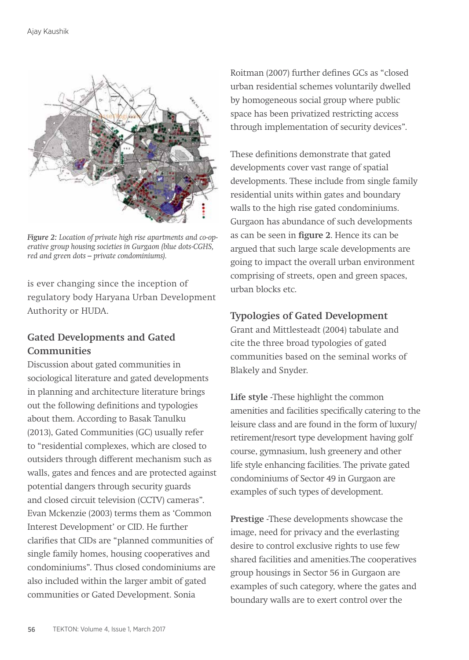

*Figure 2: Location of private high rise apartments and co-operative group housing societies in Gurgaon (blue dots-CGHS, red and green dots – private condominiums).*

is ever changing since the inception of regulatory body Haryana Urban Development Authority or HUDA.

# **Gated Developments and Gated Communities**

Discussion about gated communities in sociological literature and gated developments in planning and architecture literature brings out the following definitions and typologies about them. According to Basak Tanulku (2013), Gated Communities (GC) usually refer to "residential complexes, which are closed to outsiders through different mechanism such as walls, gates and fences and are protected against potential dangers through security guards and closed circuit television (CCTV) cameras". Evan Mckenzie (2003) terms them as 'Common Interest Development' or CID. He further clarifies that CIDs are "planned communities of single family homes, housing cooperatives and condominiums". Thus closed condominiums are also included within the larger ambit of gated communities or Gated Development. Sonia

Roitman (2007) further defines GCs as "closed urban residential schemes voluntarily dwelled by homogeneous social group where public space has been privatized restricting access through implementation of security devices".

These definitions demonstrate that gated developments cover vast range of spatial developments. These include from single family residential units within gates and boundary walls to the high rise gated condominiums. Gurgaon has abundance of such developments as can be seen in **figure 2**. Hence its can be argued that such large scale developments are going to impact the overall urban environment comprising of streets, open and green spaces, urban blocks etc.

# **Typologies of Gated Development**

Grant and Mittlesteadt (2004) tabulate and cite the three broad typologies of gated communities based on the seminal works of Blakely and Snyder.

**Life style** -These highlight the common amenities and facilities specifically catering to the leisure class and are found in the form of luxury/ retirement/resort type development having golf course, gymnasium, lush greenery and other life style enhancing facilities. The private gated condominiums of Sector 49 in Gurgaon are examples of such types of development.

**Prestige** -These developments showcase the image, need for privacy and the everlasting desire to control exclusive rights to use few shared facilities and amenities.The cooperatives group housings in Sector 56 in Gurgaon are examples of such category, where the gates and boundary walls are to exert control over the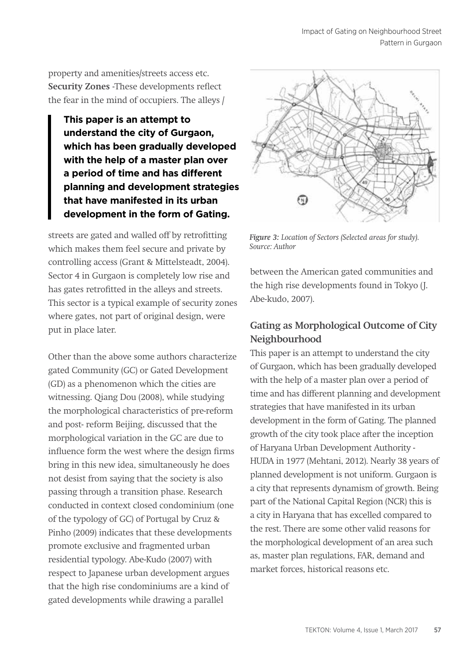property and amenities/streets access etc. **Security Zones** -These developments reflect the fear in the mind of occupiers. The alleys /

**This paper is an attempt to understand the city of Gurgaon, which has been gradually developed with the help of a master plan over a period of time and has different planning and development strategies that have manifested in its urban development in the form of Gating.**

streets are gated and walled off by retrofitting which makes them feel secure and private by controlling access (Grant & Mittelsteadt, 2004). Sector 4 in Gurgaon is completely low rise and has gates retrofitted in the alleys and streets. This sector is a typical example of security zones where gates, not part of original design, were put in place later.

Other than the above some authors characterize gated Community (GC) or Gated Development (GD) as a phenomenon which the cities are witnessing. Qiang Dou (2008), while studying the morphological characteristics of pre-reform and post- reform Beijing, discussed that the morphological variation in the GC are due to influence form the west where the design firms bring in this new idea, simultaneously he does not desist from saying that the society is also passing through a transition phase. Research conducted in context closed condominium (one of the typology of GC) of Portugal by Cruz & Pinho (2009) indicates that these developments promote exclusive and fragmented urban residential typology. Abe-Kudo (2007) with respect to Japanese urban development argues that the high rise condominiums are a kind of gated developments while drawing a parallel



*Figure 3: Location of Sectors (Selected areas for study). Source: Author*

between the American gated communities and the high rise developments found in Tokyo (J. Abe-kudo, 2007).

# **Gating as Morphological Outcome of City Neighbourhood**

This paper is an attempt to understand the city of Gurgaon, which has been gradually developed with the help of a master plan over a period of time and has different planning and development strategies that have manifested in its urban development in the form of Gating. The planned growth of the city took place after the inception of Haryana Urban Development Authority - HUDA in 1977 (Mehtani, 2012). Nearly 38 years of planned development is not uniform. Gurgaon is a city that represents dynamism of growth. Being part of the National Capital Region (NCR) this is a city in Haryana that has excelled compared to the rest. There are some other valid reasons for the morphological development of an area such as, master plan regulations, FAR, demand and market forces, historical reasons etc.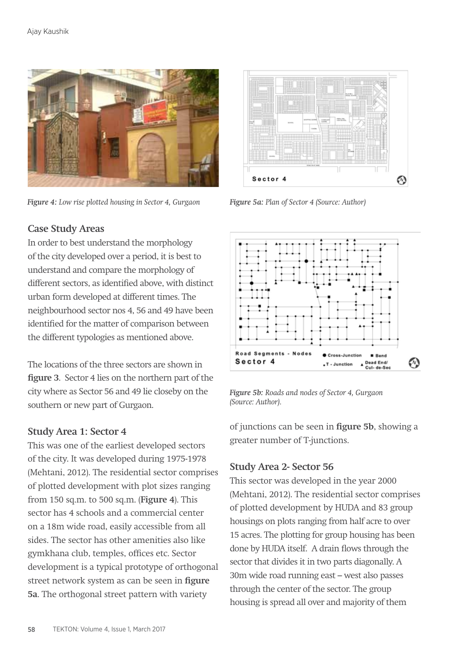

*Figure 4: Low rise plotted housing in Sector 4, Gurgaon*



*Figure 5a: Plan of Sector 4 (Source: Author)*

## **Case Study Areas**

In order to best understand the morphology of the city developed over a period, it is best to understand and compare the morphology of different sectors, as identified above, with distinct urban form developed at different times. The neighbourhood sector nos 4, 56 and 49 have been identified for the matter of comparison between the different typologies as mentioned above.

The locations of the three sectors are shown in **figure 3**. Sector 4 lies on the northern part of the city where as Sector 56 and 49 lie closeby on the southern or new part of Gurgaon.

## **Study Area 1: Sector 4**

This was one of the earliest developed sectors of the city. It was developed during 1975-1978 (Mehtani, 2012). The residential sector comprises of plotted development with plot sizes ranging from 150 sq.m. to 500 sq.m. (**Figure 4**). This sector has 4 schools and a commercial center on a 18m wide road, easily accessible from all sides. The sector has other amenities also like gymkhana club, temples, offices etc. Sector development is a typical prototype of orthogonal street network system as can be seen in **figure 5a**. The orthogonal street pattern with variety



*Figure 5b: Roads and nodes of Sector 4, Gurgaon (Source: Author).*

of junctions can be seen in **figure 5b**, showing a greater number of T-junctions.

# **Study Area 2- Sector 56**

This sector was developed in the year 2000 (Mehtani, 2012). The residential sector comprises of plotted development by HUDA and 83 group housings on plots ranging from half acre to over 15 acres. The plotting for group housing has been done by HUDA itself. A drain flows through the sector that divides it in two parts diagonally. A 30m wide road running east – west also passes through the center of the sector. The group housing is spread all over and majority of them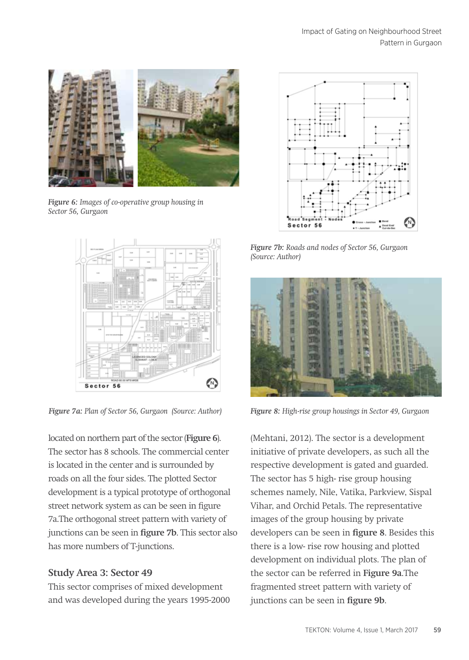

*Figure 6: Images of co-operative group housing in Sector 56, Gurgaon*



located on northern part of the sector (**Figure 6**). The sector has 8 schools. The commercial center is located in the center and is surrounded by roads on all the four sides. The plotted Sector development is a typical prototype of orthogonal street network system as can be seen in figure 7a.The orthogonal street pattern with variety of junctions can be seen in **figure 7b**. This sector also has more numbers of T-junctions.

# **Study Area 3: Sector 49**

This sector comprises of mixed development and was developed during the years 1995-2000



*Figure 7b: Roads and nodes of Sector 56, Gurgaon (Source: Author)*



*Figure 7a: Plan of Sector 56, Gurgaon (Source: Author) Figure 8: High-rise group housings in Sector 49, Gurgaon*

(Mehtani, 2012). The sector is a development initiative of private developers, as such all the respective development is gated and guarded. The sector has 5 high- rise group housing schemes namely, Nile, Vatika, Parkview, Sispal Vihar, and Orchid Petals. The representative images of the group housing by private developers can be seen in **figure 8**. Besides this there is a low- rise row housing and plotted development on individual plots. The plan of the sector can be referred in **Figure 9a**.The fragmented street pattern with variety of junctions can be seen in **figure 9b**.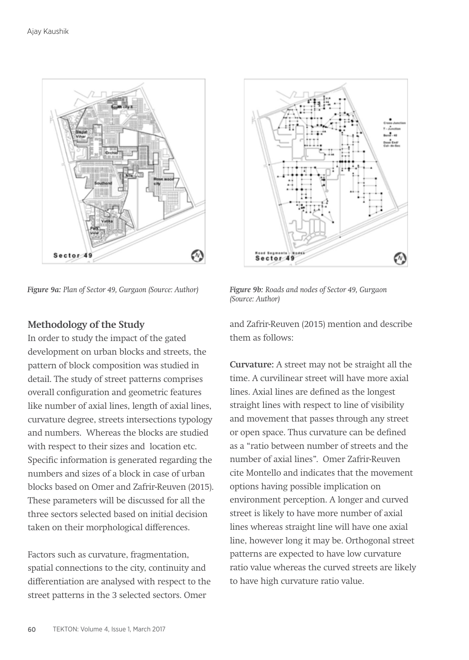

*Figure 9a: Plan of Sector 49, Gurgaon (Source: Author) Figure 9b: Roads and nodes of Sector 49, Gurgaon* 



*(Source: Author)*

**Methodology of the Study** 

In order to study the impact of the gated development on urban blocks and streets, the pattern of block composition was studied in detail. The study of street patterns comprises overall configuration and geometric features like number of axial lines, length of axial lines, curvature degree, streets intersections typology and numbers. Whereas the blocks are studied with respect to their sizes and location etc. Specific information is generated regarding the numbers and sizes of a block in case of urban blocks based on Omer and Zafrir-Reuven (2015). These parameters will be discussed for all the three sectors selected based on initial decision taken on their morphological differences.

Factors such as curvature, fragmentation, spatial connections to the city, continuity and differentiation are analysed with respect to the street patterns in the 3 selected sectors. Omer

and Zafrir-Reuven (2015) mention and describe them as follows:

**Curvature:** A street may not be straight all the time. A curvilinear street will have more axial lines. Axial lines are defined as the longest straight lines with respect to line of visibility and movement that passes through any street or open space. Thus curvature can be defined as a "ratio between number of streets and the number of axial lines". Omer Zafrir-Reuven cite Montello and indicates that the movement options having possible implication on environment perception. A longer and curved street is likely to have more number of axial lines whereas straight line will have one axial line, however long it may be. Orthogonal street patterns are expected to have low curvature ratio value whereas the curved streets are likely to have high curvature ratio value.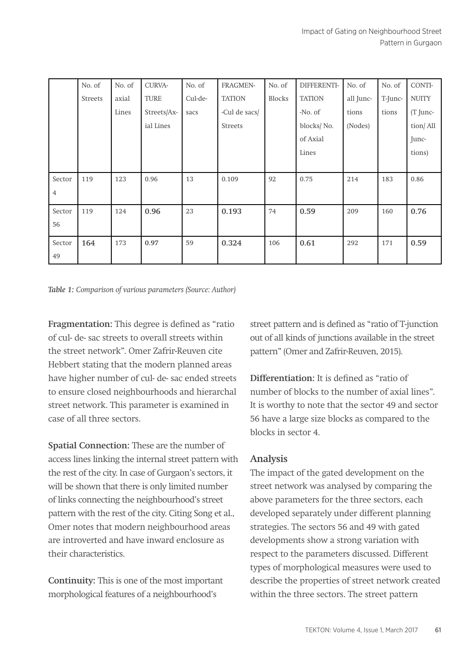|        | No. of         | No. of | CURVA-      | No. of  | FRAGMEN-      | No. of | DIFFERENTI-   | No. of    | No. of  | CONTI-       |
|--------|----------------|--------|-------------|---------|---------------|--------|---------------|-----------|---------|--------------|
|        | <b>Streets</b> | axial  | <b>TURE</b> | Cul-de- | <b>TATION</b> | Blocks | <b>TATION</b> | all Junc- | T-Junc- | <b>NUITY</b> |
|        |                | Lines  | Streets/Ax- | sacs    | -Cul de sacs/ |        | -No. of       | tions     | tions   | (T Junc-     |
|        |                |        | ial Lines   |         | Streets       |        | blocks/No.    | (Nodes)   |         | tion/All     |
|        |                |        |             |         |               |        | of Axial      |           |         | Junc-        |
|        |                |        |             |         |               |        | Lines         |           |         | tions)       |
|        |                |        |             |         |               |        |               |           |         |              |
| Sector | 119            | 123    | 0.96        | 13      | 0.109         | 92     | 0.75          | 214       | 183     | 0.86         |
| 4      |                |        |             |         |               |        |               |           |         |              |
| Sector | 119            | 124    | 0.96        | 23      | 0.193         | 74     | 0.59          | 209       | 160     | 0.76         |
| 56     |                |        |             |         |               |        |               |           |         |              |
| Sector | 164            | 173    | 0.97        | 59      | 0.324         | 106    | 0.61          | 292       | 171     | 0.59         |
| 49     |                |        |             |         |               |        |               |           |         |              |

*Table 1: Comparison of various parameters (Source: Author)*

**Fragmentation:** This degree is defined as "ratio of cul- de- sac streets to overall streets within the street network". Omer Zafrir-Reuven cite Hebbert stating that the modern planned areas have higher number of cul- de- sac ended streets to ensure closed neighbourhoods and hierarchal street network. This parameter is examined in case of all three sectors.

**Spatial Connection:** These are the number of access lines linking the internal street pattern with the rest of the city. In case of Gurgaon's sectors, it will be shown that there is only limited number of links connecting the neighbourhood's street pattern with the rest of the city. Citing Song et al., Omer notes that modern neighbourhood areas are introverted and have inward enclosure as their characteristics.

**Continuity:** This is one of the most important morphological features of a neighbourhood's

street pattern and is defined as "ratio of T-junction out of all kinds of junctions available in the street pattern" (Omer and Zafrir-Reuven, 2015).

**Differentiation:** It is defined as "ratio of number of blocks to the number of axial lines". It is worthy to note that the sector 49 and sector 56 have a large size blocks as compared to the blocks in sector 4.

## **Analysis**

The impact of the gated development on the street network was analysed by comparing the above parameters for the three sectors, each developed separately under different planning strategies. The sectors 56 and 49 with gated developments show a strong variation with respect to the parameters discussed. Different types of morphological measures were used to describe the properties of street network created within the three sectors. The street pattern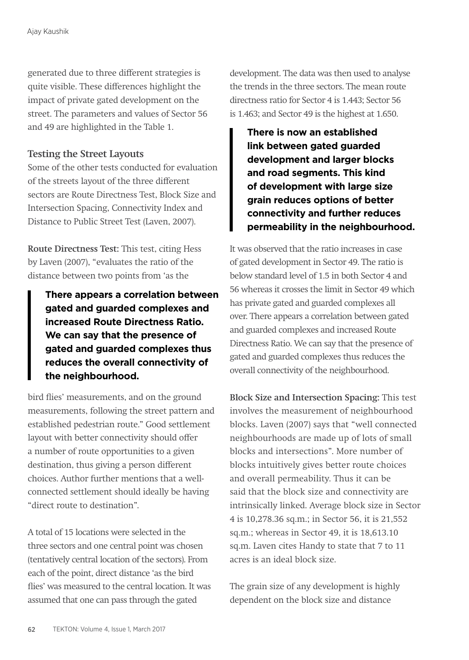generated due to three different strategies is quite visible. These differences highlight the impact of private gated development on the street. The parameters and values of Sector 56 and 49 are highlighted in the Table 1.

## **Testing the Street Layouts**

Some of the other tests conducted for evaluation of the streets layout of the three different sectors are Route Directness Test, Block Size and Intersection Spacing, Connectivity Index and Distance to Public Street Test (Laven, 2007).

**Route Directness Test:** This test, citing Hess by Laven (2007), "evaluates the ratio of the distance between two points from 'as the

**There appears a correlation between gated and guarded complexes and increased Route Directness Ratio. We can say that the presence of gated and guarded complexes thus reduces the overall connectivity of the neighbourhood.** 

bird flies' measurements, and on the ground measurements, following the street pattern and established pedestrian route." Good settlement layout with better connectivity should offer a number of route opportunities to a given destination, thus giving a person different choices. Author further mentions that a wellconnected settlement should ideally be having "direct route to destination".

A total of 15 locations were selected in the three sectors and one central point was chosen (tentatively central location of the sectors). From each of the point, direct distance 'as the bird flies' was measured to the central location. It was assumed that one can pass through the gated

development. The data was then used to analyse the trends in the three sectors. The mean route directness ratio for Sector 4 is 1.443; Sector 56 is 1.463; and Sector 49 is the highest at 1.650.

**There is now an established link between gated guarded development and larger blocks and road segments. This kind of development with large size grain reduces options of better connectivity and further reduces permeability in the neighbourhood.** 

It was observed that the ratio increases in case of gated development in Sector 49. The ratio is below standard level of 1.5 in both Sector 4 and 56 whereas it crosses the limit in Sector 49 which has private gated and guarded complexes all over. There appears a correlation between gated and guarded complexes and increased Route Directness Ratio. We can say that the presence of gated and guarded complexes thus reduces the overall connectivity of the neighbourhood.

**Block Size and Intersection Spacing:** This test involves the measurement of neighbourhood blocks. Laven (2007) says that "well connected neighbourhoods are made up of lots of small blocks and intersections". More number of blocks intuitively gives better route choices and overall permeability. Thus it can be said that the block size and connectivity are intrinsically linked. Average block size in Sector 4 is 10,278.36 sq.m.; in Sector 56, it is 21,552 sq.m.; whereas in Sector 49, it is 18,613.10 sq.m. Laven cites Handy to state that 7 to 11 acres is an ideal block size.

The grain size of any development is highly dependent on the block size and distance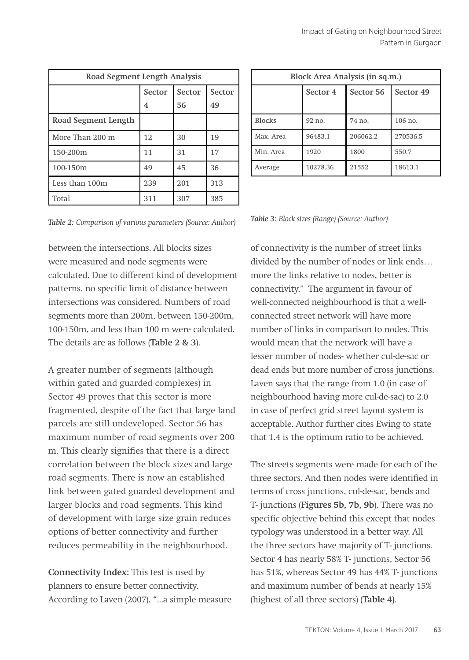| Road Segment Length Analysis |        |        |        |  |  |
|------------------------------|--------|--------|--------|--|--|
|                              | Sector | Sector | Sector |  |  |
|                              | 4      | 56     | 49     |  |  |
| Road Segment Length          |        |        |        |  |  |
| More Than 200 m              | 12     | 30     | 19     |  |  |
| 150-200m                     | 11     | 31     | 17     |  |  |
| 100-150m                     | 49     | 45     | 36     |  |  |
| Less than 100m               | 239    | 201    | 313    |  |  |
| Total                        | 311    | 307    | 385    |  |  |

| Block Area Analysis (in sq.m.) |          |           |           |  |  |  |
|--------------------------------|----------|-----------|-----------|--|--|--|
|                                | Sector 4 | Sector 56 | Sector 49 |  |  |  |
| <b>Blocks</b>                  | $92$ no. | 74 no.    | $106$ no. |  |  |  |
| Max. Area                      | 96483.1  | 206062.2  | 270536.5  |  |  |  |
| Min. Area                      | 1920     | 1800      | 550.7     |  |  |  |
| Average                        | 10278.36 | 21552     | 18613.1   |  |  |  |

*Table 2: Comparison of various parameters (Source: Author) Table 3: Block sizes (Range) (Source: Author)*

between the intersections. All blocks sizes were measured and node segments were calculated. Due to different kind of development patterns, no specific limit of distance between intersections was considered. Numbers of road segments more than 200m, between 150-200m, 100-150m, and less than 100 m were calculated. The details are as follows (**Table 2 & 3**).

A greater number of segments (although within gated and guarded complexes) in Sector 49 proves that this sector is more fragmented, despite of the fact that large land parcels are still undeveloped. Sector 56 has maximum number of road segments over 200 m. This clearly signifies that there is a direct correlation between the block sizes and large road segments. There is now an established link between gated guarded development and larger blocks and road segments. This kind of development with large size grain reduces options of better connectivity and further reduces permeability in the neighbourhood.

**Connectivity Index:** This test is used by planners to ensure better connectivity. According to Laven (2007), "...a simple measure

of connectivity is the number of street links divided by the number of nodes or link ends… more the links relative to nodes, better is connectivity." The argument in favour of well-connected neighbourhood is that a wellconnected street network will have more number of links in comparison to nodes. This would mean that the network will have a lesser number of nodes- whether cul-de-sac or dead ends but more number of cross junctions. Laven says that the range from 1.0 (in case of neighbourhood having more cul-de-sac) to 2.0 in case of perfect grid street layout system is acceptable. Author further cites Ewing to state that 1.4 is the optimum ratio to be achieved.

The streets segments were made for each of the three sectors. And then nodes were identified in terms of cross junctions, cul-de-sac, bends and T- junctions (**Figures 5b, 7b, 9b**). There was no specific objective behind this except that nodes typology was understood in a better way. All the three sectors have majority of T- junctions. Sector 4 has nearly 58% T- junctions, Sector 56 has 51%, whereas Sector 49 has 44% T- junctions and maximum number of bends at nearly 15% (highest of all three sectors) (**Table 4)**.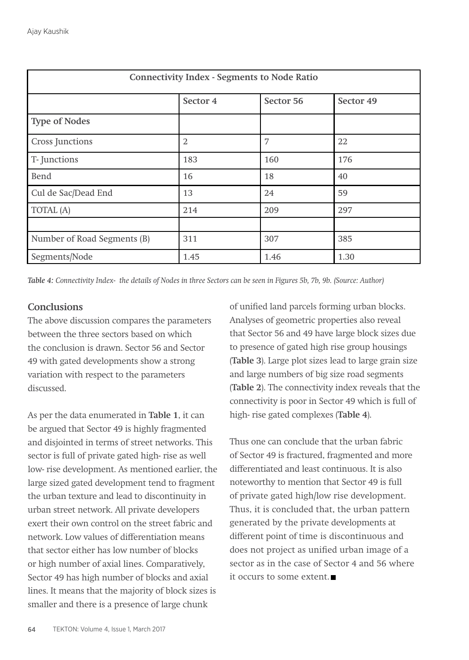| <b>Connectivity Index - Segments to Node Ratio</b> |                |           |           |  |  |  |
|----------------------------------------------------|----------------|-----------|-----------|--|--|--|
|                                                    | Sector 4       | Sector 56 | Sector 49 |  |  |  |
| <b>Type of Nodes</b>                               |                |           |           |  |  |  |
| Cross Junctions                                    | $\overline{2}$ | 7         | 22        |  |  |  |
| T-Junctions                                        | 183            | 160       | 176       |  |  |  |
| Bend                                               | 16             | 18        | 40        |  |  |  |
| Cul de Sac/Dead End                                | 13             | 24        | 59        |  |  |  |
| TOTAL (A)                                          | 214            | 209       | 297       |  |  |  |
|                                                    |                |           |           |  |  |  |
| Number of Road Segments (B)                        | 311            | 307       | 385       |  |  |  |
| Segments/Node                                      | 1.45           | 1.46      | 1.30      |  |  |  |

*Table 4: Connectivity Index- the details of Nodes in three Sectors can be seen in Figures 5b, 7b, 9b. (Source: Author)*

## **Conclusions**

The above discussion compares the parameters between the three sectors based on which the conclusion is drawn. Sector 56 and Sector 49 with gated developments show a strong variation with respect to the parameters discussed.

As per the data enumerated in **Table 1**, it can be argued that Sector 49 is highly fragmented and disjointed in terms of street networks. This sector is full of private gated high- rise as well low- rise development. As mentioned earlier, the large sized gated development tend to fragment the urban texture and lead to discontinuity in urban street network. All private developers exert their own control on the street fabric and network. Low values of differentiation means that sector either has low number of blocks or high number of axial lines. Comparatively, Sector 49 has high number of blocks and axial lines. It means that the majority of block sizes is smaller and there is a presence of large chunk

of unified land parcels forming urban blocks. Analyses of geometric properties also reveal that Sector 56 and 49 have large block sizes due to presence of gated high rise group housings (**Table 3**). Large plot sizes lead to large grain size and large numbers of big size road segments (**Table 2**). The connectivity index reveals that the connectivity is poor in Sector 49 which is full of high- rise gated complexes (**Table 4**).

Thus one can conclude that the urban fabric of Sector 49 is fractured, fragmented and more differentiated and least continuous. It is also noteworthy to mention that Sector 49 is full of private gated high/low rise development. Thus, it is concluded that, the urban pattern generated by the private developments at different point of time is discontinuous and does not project as unified urban image of a sector as in the case of Sector 4 and 56 where it occurs to some extent.